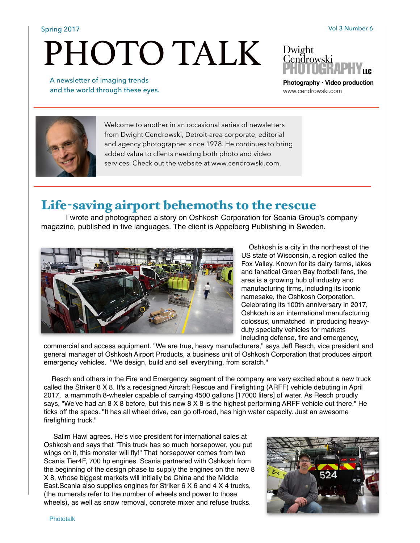## PHOTO TALK

 A newsletter of imaging trends and the world through these eyes.



Dwight Cendrowski<br>**PHOTOGRAPHYuc** 

**Photography • Video production** [www.cendrowski.com](http://www.cendrowski.com)



Welcome to another in an occasional series of newsletters from Dwight Cendrowski, Detroit-area corporate, editorial and agency photographer since 1978. He continues to bring added value to clients needing both photo and video services. Check out the website at www.cendrowski.com.

## Life-saving airport behemoths to the rescue

I wrote and photographed a story on Oshkosh Corporation for Scania Group's company magazine, published in five languages. The client is Appelberg Publishing in Sweden.



 Oshkosh is a city in the northeast of the US state of Wisconsin, a region called the Fox Valley. Known for its dairy farms, lakes and fanatical Green Bay football fans, the area is a growing hub of industry and manufacturing firms, including its iconic namesake, the Oshkosh Corporation. Celebrating its 100th anniversary in 2017, Oshkosh is an international manufacturing colossus, unmatched in producing heavyduty specialty vehicles for markets including defense, fire and emergency,

commercial and access equipment. "We are true, heavy manufacturers," says Jeff Resch, vice president and general manager of Oshkosh Airport Products, a business unit of Oshkosh Corporation that produces airport emergency vehicles. "We design, build and sell everything, from scratch."

 Resch and others in the Fire and Emergency segment of the company are very excited about a new truck called the Striker 8 X 8. It's a redesigned Aircraft Rescue and Firefighting (ARFF) vehicle debuting in April 2017, a mammoth 8-wheeler capable of carrying 4500 gallons [17000 liters] of water. As Resch proudly says, "We've had an 8 X 8 before, but this new 8 X 8 is the highest performing ARFF vehicle out there." He ticks off the specs. "It has all wheel drive, can go off-road, has high water capacity. Just an awesome firefighting truck."

 Salim Hawi agrees. He's vice president for international sales at Oshkosh and says that "This truck has so much horsepower, you put wings on it, this monster will fly!" That horsepower comes from two Scania Tier4F, 700 hp engines. Scania partnered with Oshkosh from the beginning of the design phase to supply the engines on the new 8 X 8, whose biggest markets will initially be China and the Middle East.Scania also supplies engines for Striker 6 X 6 and 4 X 4 trucks, (the numerals refer to the number of wheels and power to those wheels), as well as snow removal, concrete mixer and refuse trucks.